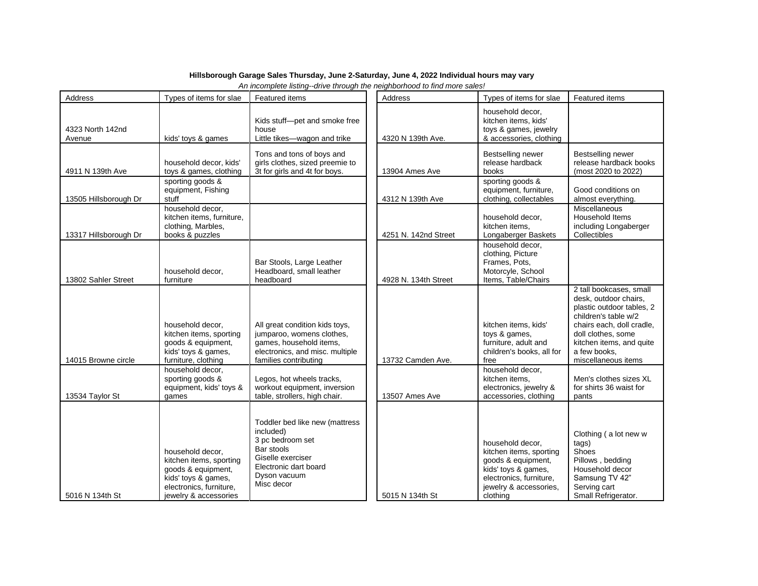## **Hillsborough Garage Sales Thursday, June 2-Saturday, June 4, 2022 Individual hours may vary**

*An incomplete listing--drive through the neighborhood to find more sales!*

| Address                    | Types of items for slae                                                                                                                      | Featured items                                                                                                                                            | Address              | Types of items for slae                                                                                                                                   | Featured items                                                                                                                                                                                                              |
|----------------------------|----------------------------------------------------------------------------------------------------------------------------------------------|-----------------------------------------------------------------------------------------------------------------------------------------------------------|----------------------|-----------------------------------------------------------------------------------------------------------------------------------------------------------|-----------------------------------------------------------------------------------------------------------------------------------------------------------------------------------------------------------------------------|
| 4323 North 142nd<br>Avenue | kids' toys & games                                                                                                                           | Kids stuff-pet and smoke free<br>house<br>Little tikes-wagon and trike                                                                                    | 4320 N 139th Ave.    | household decor.<br>kitchen items, kids'<br>toys & games, jewelry<br>& accessories, clothing                                                              |                                                                                                                                                                                                                             |
| 4911 N 139th Ave           | household decor, kids'<br>toys & games, clothing                                                                                             | Tons and tons of boys and<br>girls clothes, sized preemie to<br>3t for girls and 4t for boys.                                                             | 13904 Ames Ave       | Bestselling newer<br>release hardback<br>books                                                                                                            | Bestselling newer<br>release hardback books<br>(most 2020 to 2022)                                                                                                                                                          |
| 13505 Hillsborough Dr      | sporting goods &<br>equipment, Fishing<br>stuff                                                                                              |                                                                                                                                                           | 4312 N 139th Ave     | sporting goods &<br>equipment, furniture,<br>clothing, collectables                                                                                       | Good conditions on<br>almost everything.                                                                                                                                                                                    |
| 13317 Hillsborough Dr      | household decor.<br>kitchen items, furniture,<br>clothing, Marbles,<br>books & puzzles                                                       |                                                                                                                                                           | 4251 N. 142nd Street | household decor,<br>kitchen items,<br>Longaberger Baskets                                                                                                 | Miscellaneous<br>Household Items<br>including Longaberger<br>Collectibles                                                                                                                                                   |
| 13802 Sahler Street        | household decor,<br>furniture                                                                                                                | Bar Stools, Large Leather<br>Headboard, small leather<br>headboard                                                                                        | 4928 N. 134th Street | household decor.<br>clothing, Picture<br>Frames, Pots,<br>Motorcyle, School<br>Items, Table/Chairs                                                        |                                                                                                                                                                                                                             |
| 14015 Browne circle        | household decor.<br>kitchen items, sporting<br>goods & equipment,<br>kids' toys & games,<br>furniture, clothing                              | All great condition kids toys,<br>jumparoo, womens clothes,<br>games, household items,<br>electronics, and misc. multiple<br>families contributing        | 13732 Camden Ave.    | kitchen items, kids'<br>toys & games,<br>furniture, adult and<br>children's books, all for<br>free                                                        | 2 tall bookcases, small<br>desk, outdoor chairs,<br>plastic outdoor tables, 2<br>children's table w/2<br>chairs each, doll cradle,<br>doll clothes, some<br>kitchen items, and quite<br>a few books.<br>miscellaneous items |
| 13534 Taylor St            | household decor.<br>sporting goods &<br>equipment, kids' toys &<br>games                                                                     | Legos, hot wheels tracks,<br>workout equipment, inversion<br>table, strollers, high chair.                                                                | 13507 Ames Ave       | household decor,<br>kitchen items,<br>electronics, jewelry &<br>accessories, clothing                                                                     | Men's clothes sizes XL<br>for shirts 36 waist for<br>pants                                                                                                                                                                  |
| 5016 N 134th St            | household decor.<br>kitchen items, sporting<br>goods & equipment,<br>kids' toys & games,<br>electronics, furniture,<br>jewelry & accessories | Toddler bed like new (mattress<br>included)<br>3 pc bedroom set<br>Bar stools<br>Giselle exerciser<br>Electronic dart board<br>Dyson vacuum<br>Misc decor | 5015 N 134th St      | household decor.<br>kitchen items, sporting<br>goods & equipment,<br>kids' toys & games,<br>electronics, furniture,<br>jewelry & accessories,<br>clothing | Clothing (a lot new w<br>tags)<br>Shoes<br>Pillows, bedding<br>Household decor<br>Samsung TV 42"<br>Serving cart<br>Small Refrigerator.                                                                                     |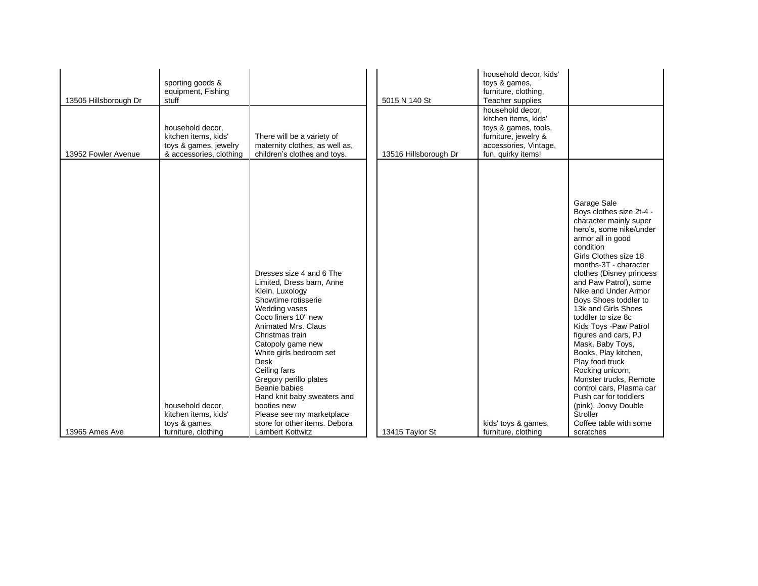| 13505 Hillsborough Dr | sporting goods &<br>equipment, Fishing<br>stuff<br>household decor,<br>kitchen items, kids'<br>toys & games, jewelry | There will be a variety of<br>maternity clothes, as well as,                                                                                                                                                                                                                                                | 5015 N 140 St         | household decor, kids'<br>toys & games,<br>furniture, clothing,<br>Teacher supplies<br>household decor.<br>kitchen items, kids'<br>toys & games, tools,<br>furniture, jewelry &<br>accessories, Vintage, |                                                                                                                                                                                                                                                                                                                                                                                                                                                                                                                                |
|-----------------------|----------------------------------------------------------------------------------------------------------------------|-------------------------------------------------------------------------------------------------------------------------------------------------------------------------------------------------------------------------------------------------------------------------------------------------------------|-----------------------|----------------------------------------------------------------------------------------------------------------------------------------------------------------------------------------------------------|--------------------------------------------------------------------------------------------------------------------------------------------------------------------------------------------------------------------------------------------------------------------------------------------------------------------------------------------------------------------------------------------------------------------------------------------------------------------------------------------------------------------------------|
| 13952 Fowler Avenue   | & accessories, clothing                                                                                              | children's clothes and toys.                                                                                                                                                                                                                                                                                | 13516 Hillsborough Dr | fun, quirky items!                                                                                                                                                                                       |                                                                                                                                                                                                                                                                                                                                                                                                                                                                                                                                |
|                       |                                                                                                                      | Dresses size 4 and 6 The<br>Limited, Dress barn, Anne<br>Klein, Luxology<br>Showtime rotisserie<br>Wedding vases<br>Coco liners 10" new<br>Animated Mrs. Claus<br>Christmas train<br>Catopoly game new<br>White girls bedroom set<br><b>Desk</b><br>Ceiling fans<br>Gregory perillo plates<br>Beanie babies |                       |                                                                                                                                                                                                          | Garage Sale<br>Boys clothes size 2t-4 -<br>character mainly super<br>hero's, some nike/under<br>armor all in good<br>condition<br>Girls Clothes size 18<br>months-3T - character<br>clothes (Disney princess<br>and Paw Patrol), some<br>Nike and Under Armor<br>Boys Shoes toddler to<br>13k and Girls Shoes<br>toddler to size 8c<br>Kids Toys - Paw Patrol<br>figures and cars, PJ<br>Mask, Baby Toys,<br>Books, Play kitchen,<br>Play food truck<br>Rocking unicorn,<br>Monster trucks, Remote<br>control cars. Plasma car |
|                       |                                                                                                                      | Hand knit baby sweaters and                                                                                                                                                                                                                                                                                 |                       |                                                                                                                                                                                                          | Push car for toddlers                                                                                                                                                                                                                                                                                                                                                                                                                                                                                                          |
|                       | household decor,                                                                                                     | booties new                                                                                                                                                                                                                                                                                                 |                       |                                                                                                                                                                                                          | (pink). Joovy Double                                                                                                                                                                                                                                                                                                                                                                                                                                                                                                           |
|                       | kitchen items, kids'                                                                                                 | Please see my marketplace                                                                                                                                                                                                                                                                                   |                       |                                                                                                                                                                                                          | Stroller                                                                                                                                                                                                                                                                                                                                                                                                                                                                                                                       |
|                       | toys & games,                                                                                                        | store for other items. Debora                                                                                                                                                                                                                                                                               |                       | kids' toys & games,                                                                                                                                                                                      | Coffee table with some                                                                                                                                                                                                                                                                                                                                                                                                                                                                                                         |
| 13965 Ames Ave        | furniture, clothing                                                                                                  | <b>Lambert Kottwitz</b>                                                                                                                                                                                                                                                                                     | 13415 Taylor St       | furniture, clothing                                                                                                                                                                                      | scratches                                                                                                                                                                                                                                                                                                                                                                                                                                                                                                                      |